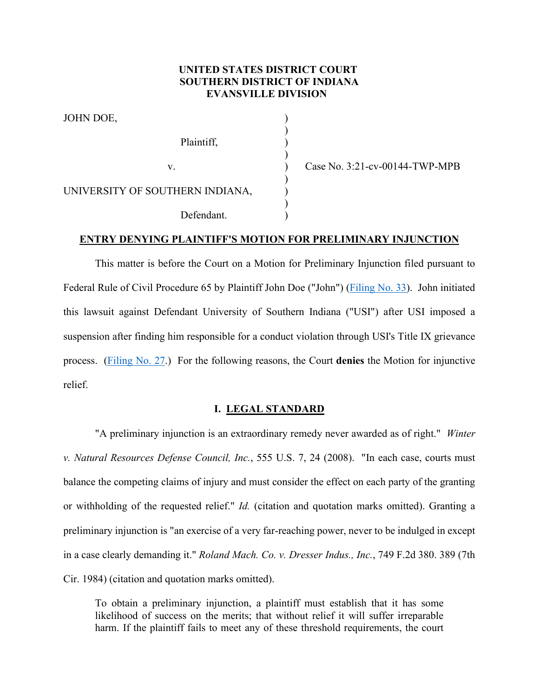# **UNITED STATES DISTRICT COURT SOUTHERN DISTRICT OF INDIANA EVANSVILLE DIVISION**

)

| JOHN DOE,                       |  |
|---------------------------------|--|
| Plaintiff,                      |  |
| V.                              |  |
| UNIVERSITY OF SOUTHERN INDIANA, |  |
| Defendant.                      |  |

Case No. 3:21-cv-00144-TWP-MPB

## **ENTRY DENYING PLAINTIFF'S MOTION FOR PRELIMINARY INJUNCTION**

This matter is before the Court on a Motion for Preliminary Injunction filed pursuant to Federal Rule of Civil Procedure 65 by Plaintiff John Doe ("John") [\(Filing No. 33\)](https://ecf.insd.uscourts.gov/doc1/07318932419). John initiated this lawsuit against Defendant University of Southern Indiana ("USI") after USI imposed a suspension after finding him responsible for a conduct violation through USI's Title IX grievance process. [\(Filing No. 27.](https://ecf.insd.uscourts.gov/doc1/07318927575)) For the following reasons, the Court **denies** the Motion for injunctive relief.

### **I. LEGAL STANDARD**

"A preliminary injunction is an extraordinary remedy never awarded as of right." *Winter v. Natural Resources Defense Council, Inc.*, 555 U.S. 7, 24 (2008). "In each case, courts must balance the competing claims of injury and must consider the effect on each party of the granting or withholding of the requested relief." *Id.* (citation and quotation marks omitted). Granting a preliminary injunction is "an exercise of a very far-reaching power, never to be indulged in except in a case clearly demanding it." *Roland Mach. Co. v. Dresser Indus., Inc.*, 749 F.2d 380. 389 (7th Cir. 1984) (citation and quotation marks omitted).

To obtain a preliminary injunction, a plaintiff must establish that it has some likelihood of success on the merits; that without relief it will suffer irreparable harm. If the plaintiff fails to meet any of these threshold requirements, the court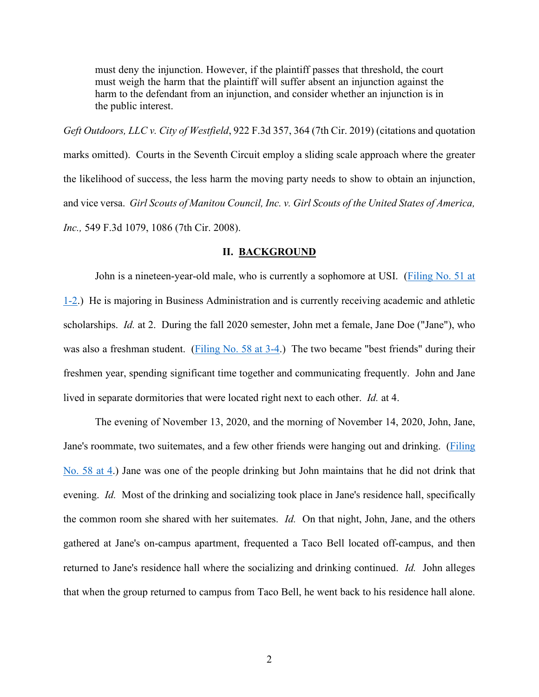must deny the injunction. However, if the plaintiff passes that threshold, the court must weigh the harm that the plaintiff will suffer absent an injunction against the harm to the defendant from an injunction, and consider whether an injunction is in the public interest.

*Geft Outdoors, LLC v. City of Westfield*, 922 F.3d 357, 364 (7th Cir. 2019) (citations and quotation marks omitted). Courts in the Seventh Circuit employ a sliding scale approach where the greater the likelihood of success, the less harm the moving party needs to show to obtain an injunction, and vice versa. *Girl Scouts of Manitou Council, Inc. v. Girl Scouts of the United States of America, Inc.,* 549 F.3d 1079, 1086 (7th Cir. 2008).

#### **II. BACKGROUND**

John is a nineteen-year-old male, who is currently a sophomore at USI. [\(Filing No. 51 at](https://ecf.insd.uscourts.gov/doc1/07318932808?page=1)  [1-2.](https://ecf.insd.uscourts.gov/doc1/07318932808?page=1)) He is majoring in Business Administration and is currently receiving academic and athletic scholarships. *Id.* at 2. During the fall 2020 semester, John met a female, Jane Doe ("Jane"), who was also a freshman student. [\(Filing No. 58 at 3-4.](https://ecf.insd.uscourts.gov/doc1/07318956991?page=3)) The two became "best friends" during their freshmen year, spending significant time together and communicating frequently. John and Jane lived in separate dormitories that were located right next to each other. *Id.* at 4.

The evening of November 13, 2020, and the morning of November 14, 2020, John, Jane, Jane's roommate, two suitemates, and a few other friends were hanging out and drinking. [\(Filing](https://ecf.insd.uscourts.gov/doc1/07318956991?page=4)  [No. 58 at 4.](https://ecf.insd.uscourts.gov/doc1/07318956991?page=4)) Jane was one of the people drinking but John maintains that he did not drink that evening. *Id.* Most of the drinking and socializing took place in Jane's residence hall, specifically the common room she shared with her suitemates. *Id.* On that night, John, Jane, and the others gathered at Jane's on-campus apartment, frequented a Taco Bell located off-campus, and then returned to Jane's residence hall where the socializing and drinking continued. *Id.* John alleges that when the group returned to campus from Taco Bell, he went back to his residence hall alone.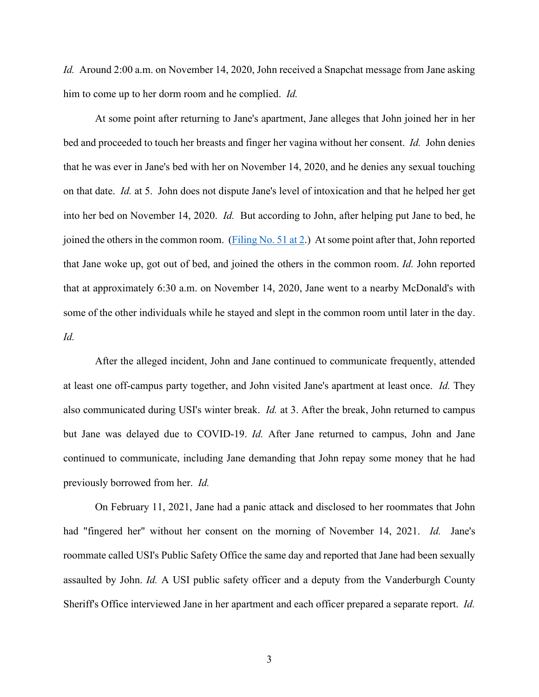*Id.* Around 2:00 a.m. on November 14, 2020, John received a Snapchat message from Jane asking him to come up to her dorm room and he complied. *Id.*

At some point after returning to Jane's apartment, Jane alleges that John joined her in her bed and proceeded to touch her breasts and finger her vagina without her consent. *Id.* John denies that he was ever in Jane's bed with her on November 14, 2020, and he denies any sexual touching on that date. *Id.* at 5. John does not dispute Jane's level of intoxication and that he helped her get into her bed on November 14, 2020. *Id.* But according to John, after helping put Jane to bed, he joined the others in the common room. [\(Filing No. 51 at 2.](https://ecf.insd.uscourts.gov/doc1/07318932808?page=2)) At some point after that, John reported that Jane woke up, got out of bed, and joined the others in the common room. *Id.* John reported that at approximately 6:30 a.m. on November 14, 2020, Jane went to a nearby McDonald's with some of the other individuals while he stayed and slept in the common room until later in the day. *Id.*

After the alleged incident, John and Jane continued to communicate frequently, attended at least one off-campus party together, and John visited Jane's apartment at least once. *Id.* They also communicated during USI's winter break. *Id.* at 3. After the break, John returned to campus but Jane was delayed due to COVID-19. *Id.* After Jane returned to campus, John and Jane continued to communicate, including Jane demanding that John repay some money that he had previously borrowed from her. *Id.*

On February 11, 2021, Jane had a panic attack and disclosed to her roommates that John had "fingered her" without her consent on the morning of November 14, 2021. *Id.* Jane's roommate called USI's Public Safety Office the same day and reported that Jane had been sexually assaulted by John. *Id.* A USI public safety officer and a deputy from the Vanderburgh County Sheriff's Office interviewed Jane in her apartment and each officer prepared a separate report. *Id.*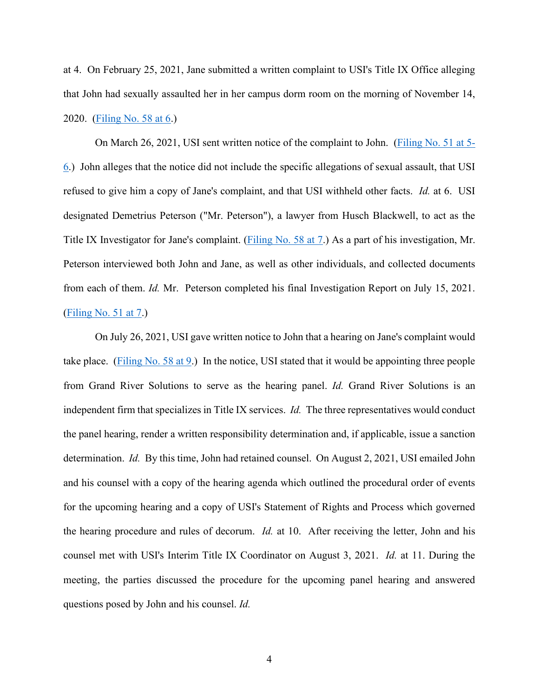at 4. On February 25, 2021, Jane submitted a written complaint to USI's Title IX Office alleging that John had sexually assaulted her in her campus dorm room on the morning of November 14, 2020. [\(Filing No. 58 at 6.](https://ecf.insd.uscourts.gov/doc1/07318956991?page=6))

On March 26, 2021, USI sent written notice of the complaint to John. [\(Filing No. 51 at 5-](https://ecf.insd.uscourts.gov/doc1/07318932808?page=5) [6.](https://ecf.insd.uscourts.gov/doc1/07318932808?page=5)) John alleges that the notice did not include the specific allegations of sexual assault, that USI refused to give him a copy of Jane's complaint, and that USI withheld other facts. *Id.* at 6. USI designated Demetrius Peterson ("Mr. Peterson"), a lawyer from Husch Blackwell, to act as the Title IX Investigator for Jane's complaint. [\(Filing No. 58 at 7.](https://ecf.insd.uscourts.gov/doc1/07318956991?page=7)) As a part of his investigation, Mr. Peterson interviewed both John and Jane, as well as other individuals, and collected documents from each of them. *Id.* Mr. Peterson completed his final Investigation Report on July 15, 2021. [\(Filing No. 51 at 7.](https://ecf.insd.uscourts.gov/doc1/07318932808?page=7))

On July 26, 2021, USI gave written notice to John that a hearing on Jane's complaint would take place. [\(Filing No. 58 at 9.](https://ecf.insd.uscourts.gov/doc1/07318956991?page=9)) In the notice, USI stated that it would be appointing three people from Grand River Solutions to serve as the hearing panel. *Id.* Grand River Solutions is an independent firm that specializes in Title IX services. *Id.* The three representatives would conduct the panel hearing, render a written responsibility determination and, if applicable, issue a sanction determination. *Id.* By this time, John had retained counsel. On August 2, 2021, USI emailed John and his counsel with a copy of the hearing agenda which outlined the procedural order of events for the upcoming hearing and a copy of USI's Statement of Rights and Process which governed the hearing procedure and rules of decorum. *Id.* at 10. After receiving the letter, John and his counsel met with USI's Interim Title IX Coordinator on August 3, 2021. *Id.* at 11. During the meeting, the parties discussed the procedure for the upcoming panel hearing and answered questions posed by John and his counsel. *Id.*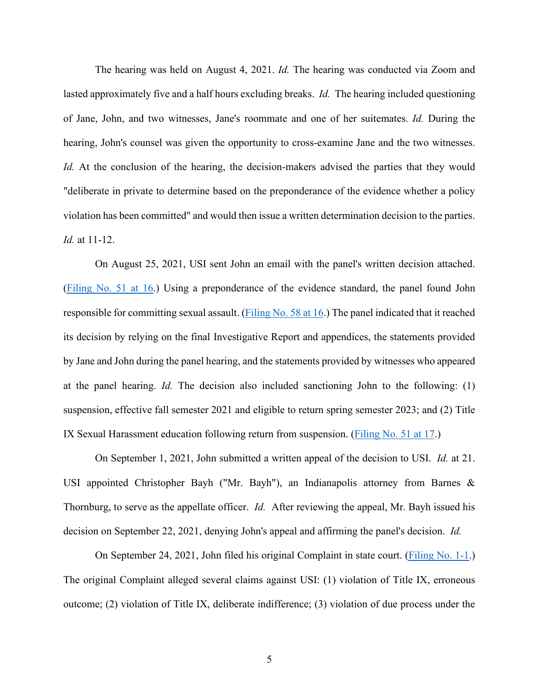The hearing was held on August 4, 2021. *Id.* The hearing was conducted via Zoom and lasted approximately five and a half hours excluding breaks. *Id.* The hearing included questioning of Jane, John, and two witnesses, Jane's roommate and one of her suitemates. *Id.* During the hearing, John's counsel was given the opportunity to cross-examine Jane and the two witnesses. *Id.* At the conclusion of the hearing, the decision-makers advised the parties that they would "deliberate in private to determine based on the preponderance of the evidence whether a policy violation has been committed" and would then issue a written determination decision to the parties. *Id.* at 11-12.

On August 25, 2021, USI sent John an email with the panel's written decision attached. [\(Filing No. 51 at 16.](https://ecf.insd.uscourts.gov/doc1/07318932808?page=16)) Using a preponderance of the evidence standard, the panel found John responsible for committing sexual assault. [\(Filing No. 58 at 16.](https://ecf.insd.uscourts.gov/doc1/07318956991?page=16)) The panel indicated that it reached its decision by relying on the final Investigative Report and appendices, the statements provided by Jane and John during the panel hearing, and the statements provided by witnesses who appeared at the panel hearing. *Id.* The decision also included sanctioning John to the following: (1) suspension, effective fall semester 2021 and eligible to return spring semester 2023; and (2) Title IX Sexual Harassment education following return from suspension. [\(Filing No. 51 at 17.](https://ecf.insd.uscourts.gov/doc1/07318932808?page=17))

On September 1, 2021, John submitted a written appeal of the decision to USI. *Id.* at 21. USI appointed Christopher Bayh ("Mr. Bayh"), an Indianapolis attorney from Barnes & Thornburg, to serve as the appellate officer. *Id.* After reviewing the appeal, Mr. Bayh issued his decision on September 22, 2021, denying John's appeal and affirming the panel's decision. *Id.*

On September 24, 2021, John filed his original Complaint in state court. [\(Filing No. 1-1.](https://ecf.insd.uscourts.gov/doc1/07318895900)) The original Complaint alleged several claims against USI: (1) violation of Title IX, erroneous outcome; (2) violation of Title IX, deliberate indifference; (3) violation of due process under the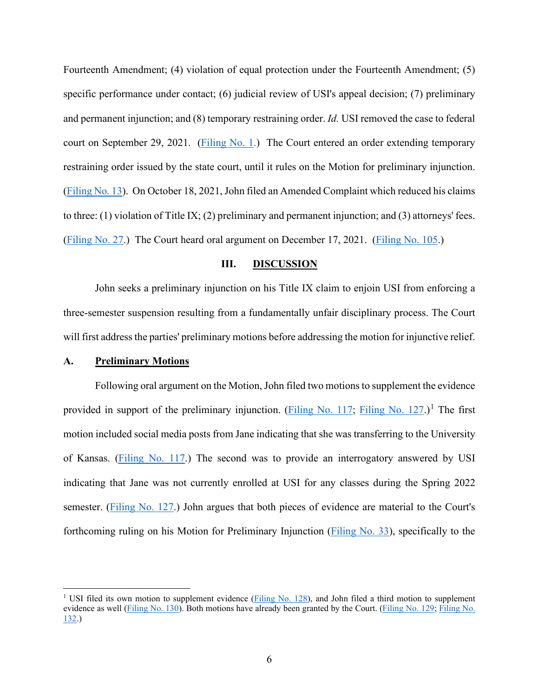Fourteenth Amendment; (4) violation of equal protection under the Fourteenth Amendment; (5) specific performance under contact; (6) judicial review of USI's appeal decision; (7) preliminary and permanent injunction; and (8) temporary restraining order. *Id.* USI removed the case to federal court on September 29, 2021. [\(Filing No. 1.](https://ecf.insd.uscourts.gov/doc1/07318895899)) The Court entered an order extending temporary restraining order issued by the state court, until it rules on the Motion for preliminary injunction. [\(Filing No. 13\)](https://ecf.insd.uscourts.gov/doc1/07318904246). On October 18, 2021, John filed an Amended Complaint which reduced his claims to three: (1) violation of Title IX; (2) preliminary and permanent injunction; and (3) attorneys' fees. [\(Filing No. 27.](https://ecf.insd.uscourts.gov/doc1/07318927575)) The Court heard oral argument on December 17, 2021. [\(Filing No. 105.](https://ecf.insd.uscourts.gov/doc1/07319032390))

### **III. DISCUSSION**

John seeks a preliminary injunction on his Title IX claim to enjoin USI from enforcing a three-semester suspension resulting from a fundamentally unfair disciplinary process. The Court will first address the parties' preliminary motions before addressing the motion for injunctive relief.

#### **A. Preliminary Motions**

Following oral argument on the Motion, John filed two motions to supplement the evidence provided in support of the preliminary injunction. [\(Filing No. 117;](https://ecf.insd.uscourts.gov/doc1/07319076466) [Filing No. 127.](https://ecf.insd.uscourts.gov/doc1/07319100317))<sup>[1](#page-5-0)</sup> The first motion included social media posts from Jane indicating that she was transferring to the University of Kansas. [\(Filing No. 117.](https://ecf.insd.uscourts.gov/doc1/07319076466)) The second was to provide an interrogatory answered by USI indicating that Jane was not currently enrolled at USI for any classes during the Spring 2022 semester. [\(Filing No. 127.](https://ecf.insd.uscourts.gov/doc1/07319100317)) John argues that both pieces of evidence are material to the Court's forthcoming ruling on his Motion for Preliminary Injunction [\(Filing No. 33\)](https://ecf.insd.uscourts.gov/doc1/07318932419), specifically to the

<span id="page-5-0"></span><sup>&</sup>lt;sup>1</sup> USI filed its own motion to supplement evidence (*Filing No. 128*), and John filed a third motion to supplement evidence as well [\(Filing No. 130\)](https://ecf.insd.uscourts.gov/doc1/07319118286). Both motions have already been granted by the Court. [\(Filing No. 129;](https://ecf.insd.uscourts.gov/doc1/07319103534) [Filing No.](https://ecf.insd.uscourts.gov/doc1/07319125388)  [132.](https://ecf.insd.uscourts.gov/doc1/07319125388))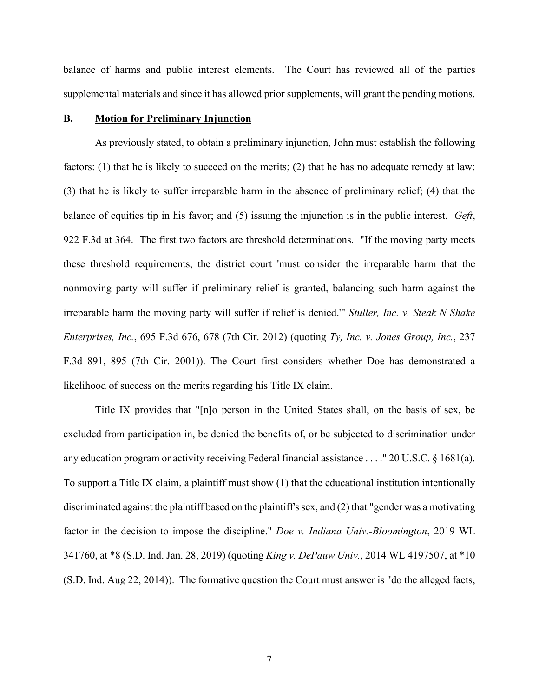balance of harms and public interest elements. The Court has reviewed all of the parties supplemental materials and since it has allowed prior supplements, will grant the pending motions.

### **B. Motion for Preliminary Injunction**

As previously stated, to obtain a preliminary injunction, John must establish the following factors: (1) that he is likely to succeed on the merits; (2) that he has no adequate remedy at law; (3) that he is likely to suffer irreparable harm in the absence of preliminary relief; (4) that the balance of equities tip in his favor; and (5) issuing the injunction is in the public interest. *Geft*, 922 F.3d at 364. The first two factors are threshold determinations. "If the moving party meets these threshold requirements, the district court 'must consider the irreparable harm that the nonmoving party will suffer if preliminary relief is granted, balancing such harm against the irreparable harm the moving party will suffer if relief is denied.'" *Stuller, Inc. v. Steak N Shake Enterprises, Inc.*, 695 F.3d 676, 678 (7th Cir. 2012) (quoting *Ty, Inc. v. Jones Group, Inc.*, 237 F.3d 891, 895 (7th Cir. 2001)). The Court first considers whether Doe has demonstrated a likelihood of success on the merits regarding his Title IX claim.

Title IX provides that "[n]o person in the United States shall, on the basis of sex, be excluded from participation in, be denied the benefits of, or be subjected to discrimination under any education program or activity receiving Federal financial assistance . . . ." 20 U.S.C. § 1681(a). To support a Title IX claim, a plaintiff must show (1) that the educational institution intentionally discriminated against the plaintiff based on the plaintiff's sex, and (2) that "gender was a motivating factor in the decision to impose the discipline." *Doe v. Indiana Univ.-Bloomington*, 2019 WL 341760, at \*8 (S.D. Ind. Jan. 28, 2019) (quoting *King v. DePauw Univ.*, 2014 WL 4197507, at \*10 (S.D. Ind. Aug 22, 2014)). The formative question the Court must answer is "do the alleged facts,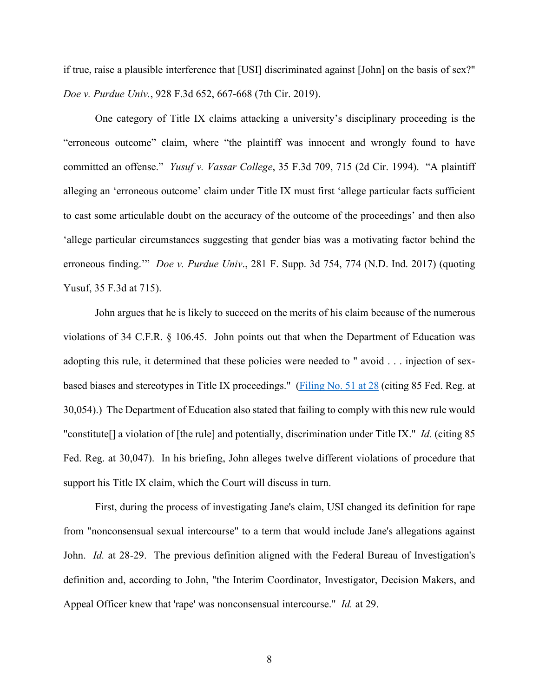if true, raise a plausible interference that [USI] discriminated against [John] on the basis of sex?" *Doe v. Purdue Univ.*, 928 F.3d 652, 667-668 (7th Cir. 2019).

One category of Title IX claims attacking a university's disciplinary proceeding is the "erroneous outcome" claim, where "the plaintiff was innocent and wrongly found to have committed an offense." *Yusuf v. Vassar College*, 35 F.3d 709, 715 (2d Cir. 1994). "A plaintiff alleging an 'erroneous outcome' claim under Title IX must first 'allege particular facts sufficient to cast some articulable doubt on the accuracy of the outcome of the proceedings' and then also 'allege particular circumstances suggesting that gender bias was a motivating factor behind the erroneous finding.'" *Doe v. Purdue Univ*., 281 F. Supp. 3d 754, 774 (N.D. Ind. 2017) (quoting Yusuf, 35 F.3d at 715).

John argues that he is likely to succeed on the merits of his claim because of the numerous violations of 34 C.F.R. § 106.45. John points out that when the Department of Education was adopting this rule, it determined that these policies were needed to " avoid . . . injection of sex-based biases and stereotypes in Title IX proceedings." [\(Filing No. 51 at 28](https://ecf.insd.uscourts.gov/doc1/07318932808?page=28) (citing 85 Fed. Reg. at 30,054).) The Department of Education also stated that failing to comply with this new rule would "constitute[] a violation of [the rule] and potentially, discrimination under Title IX." *Id.* (citing 85 Fed. Reg. at 30,047). In his briefing, John alleges twelve different violations of procedure that support his Title IX claim, which the Court will discuss in turn.

First, during the process of investigating Jane's claim, USI changed its definition for rape from "nonconsensual sexual intercourse" to a term that would include Jane's allegations against John. *Id.* at 28-29. The previous definition aligned with the Federal Bureau of Investigation's definition and, according to John, "the Interim Coordinator, Investigator, Decision Makers, and Appeal Officer knew that 'rape' was nonconsensual intercourse." *Id.* at 29.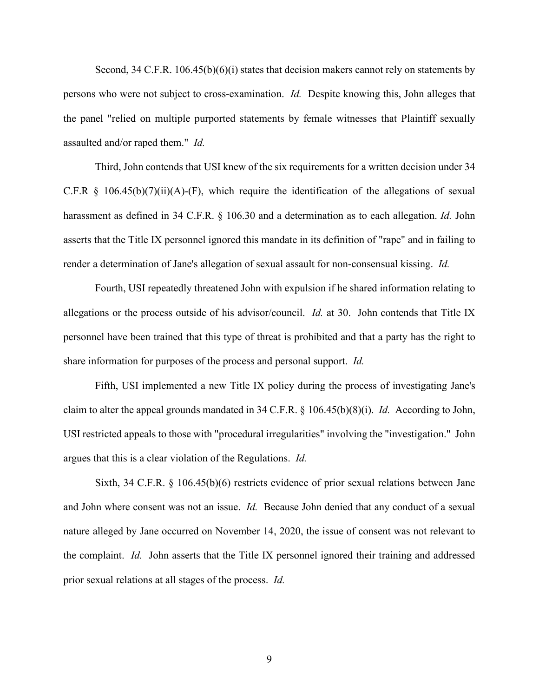Second, 34 C.F.R. 106.45(b)(6)(i) states that decision makers cannot rely on statements by persons who were not subject to cross-examination. *Id.* Despite knowing this, John alleges that the panel "relied on multiple purported statements by female witnesses that Plaintiff sexually assaulted and/or raped them." *Id.*

Third, John contends that USI knew of the six requirements for a written decision under 34 C.F.R  $\S$  106.45(b)(7)(ii)(A)-(F), which require the identification of the allegations of sexual harassment as defined in 34 C.F.R. § 106.30 and a determination as to each allegation. *Id.* John asserts that the Title IX personnel ignored this mandate in its definition of "rape" and in failing to render a determination of Jane's allegation of sexual assault for non-consensual kissing. *Id.*

Fourth, USI repeatedly threatened John with expulsion if he shared information relating to allegations or the process outside of his advisor/council. *Id.* at 30. John contends that Title IX personnel have been trained that this type of threat is prohibited and that a party has the right to share information for purposes of the process and personal support. *Id.*

Fifth, USI implemented a new Title IX policy during the process of investigating Jane's claim to alter the appeal grounds mandated in 34 C.F.R. § 106.45(b)(8)(i). *Id.* According to John, USI restricted appeals to those with "procedural irregularities" involving the "investigation." John argues that this is a clear violation of the Regulations. *Id.*

Sixth, 34 C.F.R. § 106.45(b)(6) restricts evidence of prior sexual relations between Jane and John where consent was not an issue. *Id.* Because John denied that any conduct of a sexual nature alleged by Jane occurred on November 14, 2020, the issue of consent was not relevant to the complaint. *Id.* John asserts that the Title IX personnel ignored their training and addressed prior sexual relations at all stages of the process. *Id.*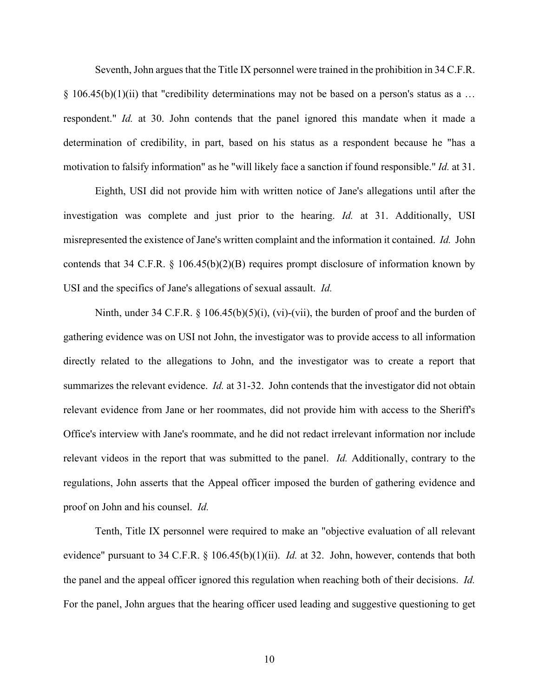Seventh, John argues that the Title IX personnel were trained in the prohibition in 34 C.F.R.  $\S 106.45(b)(1)(ii)$  that "credibility determinations may not be based on a person's status as a ... respondent." *Id.* at 30. John contends that the panel ignored this mandate when it made a determination of credibility, in part, based on his status as a respondent because he "has a motivation to falsify information" as he "will likely face a sanction if found responsible." *Id.* at 31.

Eighth, USI did not provide him with written notice of Jane's allegations until after the investigation was complete and just prior to the hearing. *Id.* at 31. Additionally, USI misrepresented the existence of Jane's written complaint and the information it contained. *Id.* John contends that 34 C.F.R. § 106.45(b)(2)(B) requires prompt disclosure of information known by USI and the specifics of Jane's allegations of sexual assault. *Id.*

Ninth, under 34 C.F.R.  $\S$  106.45(b)(5)(i), (vi)-(vii), the burden of proof and the burden of gathering evidence was on USI not John, the investigator was to provide access to all information directly related to the allegations to John, and the investigator was to create a report that summarizes the relevant evidence. *Id.* at 31-32. John contends that the investigator did not obtain relevant evidence from Jane or her roommates, did not provide him with access to the Sheriff's Office's interview with Jane's roommate, and he did not redact irrelevant information nor include relevant videos in the report that was submitted to the panel. *Id.* Additionally, contrary to the regulations, John asserts that the Appeal officer imposed the burden of gathering evidence and proof on John and his counsel. *Id.*

Tenth, Title IX personnel were required to make an "objective evaluation of all relevant evidence" pursuant to 34 C.F.R. § 106.45(b)(1)(ii). *Id.* at 32. John, however, contends that both the panel and the appeal officer ignored this regulation when reaching both of their decisions. *Id.* For the panel, John argues that the hearing officer used leading and suggestive questioning to get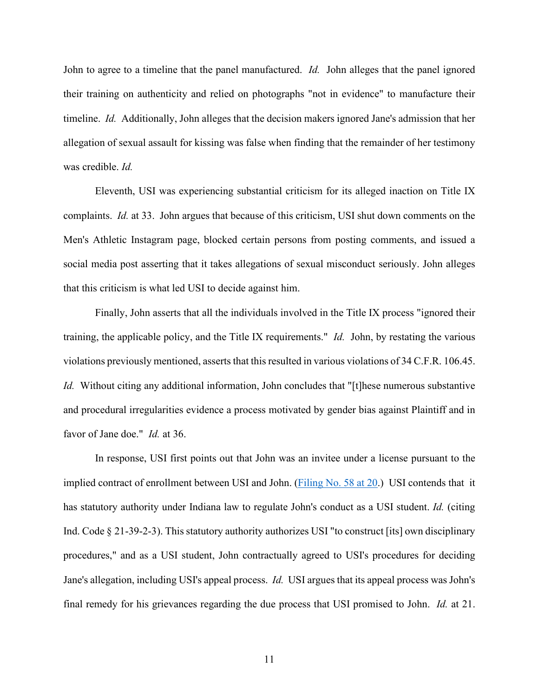John to agree to a timeline that the panel manufactured. *Id.* John alleges that the panel ignored their training on authenticity and relied on photographs "not in evidence" to manufacture their timeline. *Id.* Additionally, John alleges that the decision makers ignored Jane's admission that her allegation of sexual assault for kissing was false when finding that the remainder of her testimony was credible. *Id.*

Eleventh, USI was experiencing substantial criticism for its alleged inaction on Title IX complaints. *Id.* at 33. John argues that because of this criticism, USI shut down comments on the Men's Athletic Instagram page, blocked certain persons from posting comments, and issued a social media post asserting that it takes allegations of sexual misconduct seriously. John alleges that this criticism is what led USI to decide against him.

Finally, John asserts that all the individuals involved in the Title IX process "ignored their training, the applicable policy, and the Title IX requirements." *Id.* John, by restating the various violations previously mentioned, asserts that this resulted in various violations of 34 C.F.R. 106.45. *Id.* Without citing any additional information, John concludes that "[t]hese numerous substantive and procedural irregularities evidence a process motivated by gender bias against Plaintiff and in favor of Jane doe." *Id.* at 36.

In response, USI first points out that John was an invitee under a license pursuant to the implied contract of enrollment between USI and John. [\(Filing No. 58 at 20.](https://ecf.insd.uscourts.gov/doc1/07318956991?page=20)) USI contends that it has statutory authority under Indiana law to regulate John's conduct as a USI student. *Id.* (citing Ind. Code § 21-39-2-3). This statutory authority authorizes USI "to construct [its] own disciplinary procedures," and as a USI student, John contractually agreed to USI's procedures for deciding Jane's allegation, including USI's appeal process. *Id.* USI argues that its appeal process was John's final remedy for his grievances regarding the due process that USI promised to John. *Id.* at 21.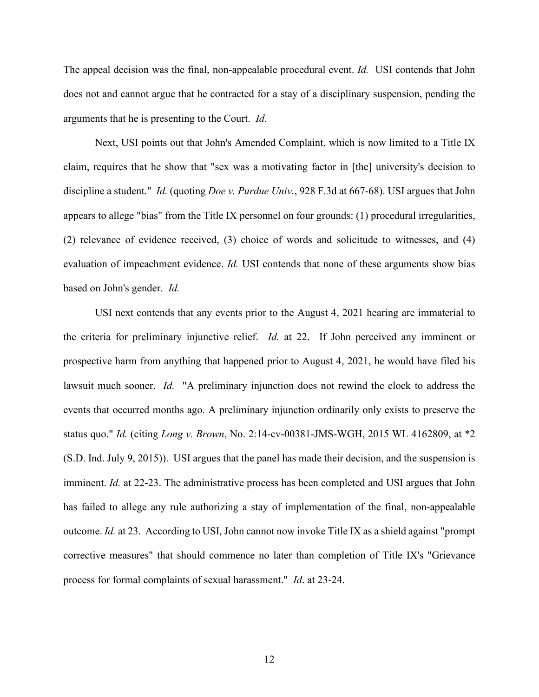The appeal decision was the final, non-appealable procedural event. *Id.* USI contends that John does not and cannot argue that he contracted for a stay of a disciplinary suspension, pending the arguments that he is presenting to the Court. *Id.*

Next, USI points out that John's Amended Complaint, which is now limited to a Title IX claim, requires that he show that "sex was a motivating factor in [the] university's decision to discipline a student." *Id.* (quoting *Doe v. Purdue Univ.*, 928 F.3d at 667-68). USI argues that John appears to allege "bias" from the Title IX personnel on four grounds: (1) procedural irregularities, (2) relevance of evidence received, (3) choice of words and solicitude to witnesses, and (4) evaluation of impeachment evidence. *Id.* USI contends that none of these arguments show bias based on John's gender. *Id.*

USI next contends that any events prior to the August 4, 2021 hearing are immaterial to the criteria for preliminary injunctive relief. *Id.* at 22. If John perceived any imminent or prospective harm from anything that happened prior to August 4, 2021, he would have filed his lawsuit much sooner. *Id.* "A preliminary injunction does not rewind the clock to address the events that occurred months ago. A preliminary injunction ordinarily only exists to preserve the status quo." *Id.* (citing *Long v. Brown*, No. 2:14-cv-00381-JMS-WGH, 2015 WL 4162809, at \*2 (S.D. Ind. July 9, 2015)). USI argues that the panel has made their decision, and the suspension is imminent. *Id.* at 22-23. The administrative process has been completed and USI argues that John has failed to allege any rule authorizing a stay of implementation of the final, non-appealable outcome. *Id.* at 23. According to USI, John cannot now invoke Title IX as a shield against "prompt corrective measures" that should commence no later than completion of Title IX's "Grievance process for formal complaints of sexual harassment." *Id*. at 23-24.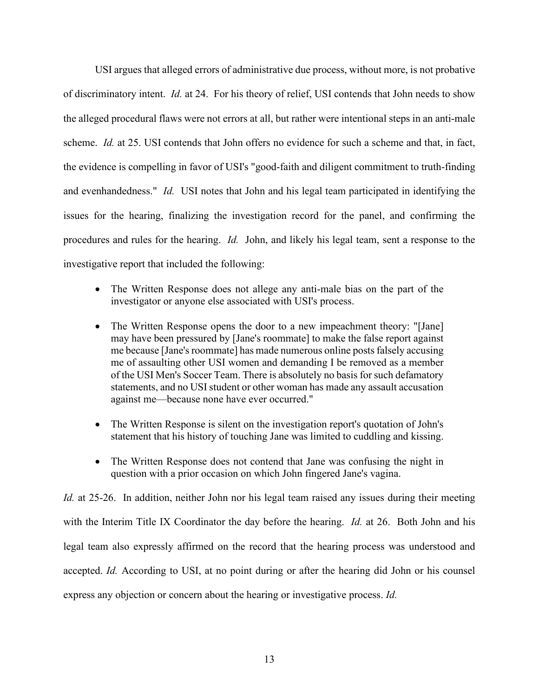USI argues that alleged errors of administrative due process, without more, is not probative of discriminatory intent. *Id.* at 24. For his theory of relief, USI contends that John needs to show the alleged procedural flaws were not errors at all, but rather were intentional steps in an anti-male scheme. *Id.* at 25. USI contends that John offers no evidence for such a scheme and that, in fact, the evidence is compelling in favor of USI's "good-faith and diligent commitment to truth-finding and evenhandedness." *Id.* USI notes that John and his legal team participated in identifying the issues for the hearing, finalizing the investigation record for the panel, and confirming the procedures and rules for the hearing. *Id.* John, and likely his legal team, sent a response to the investigative report that included the following:

- The Written Response does not allege any anti-male bias on the part of the investigator or anyone else associated with USI's process.
- The Written Response opens the door to a new impeachment theory: "[Jane] may have been pressured by [Jane's roommate] to make the false report against me because [Jane's roommate] has made numerous online posts falsely accusing me of assaulting other USI women and demanding I be removed as a member of the USI Men's Soccer Team. There is absolutely no basis for such defamatory statements, and no USI student or other woman has made any assault accusation against me—because none have ever occurred."
- The Written Response is silent on the investigation report's quotation of John's statement that his history of touching Jane was limited to cuddling and kissing.
- The Written Response does not contend that Jane was confusing the night in question with a prior occasion on which John fingered Jane's vagina.

*Id.* at 25-26. In addition, neither John nor his legal team raised any issues during their meeting with the Interim Title IX Coordinator the day before the hearing. *Id.* at 26. Both John and his legal team also expressly affirmed on the record that the hearing process was understood and accepted. *Id.* According to USI, at no point during or after the hearing did John or his counsel express any objection or concern about the hearing or investigative process. *Id.*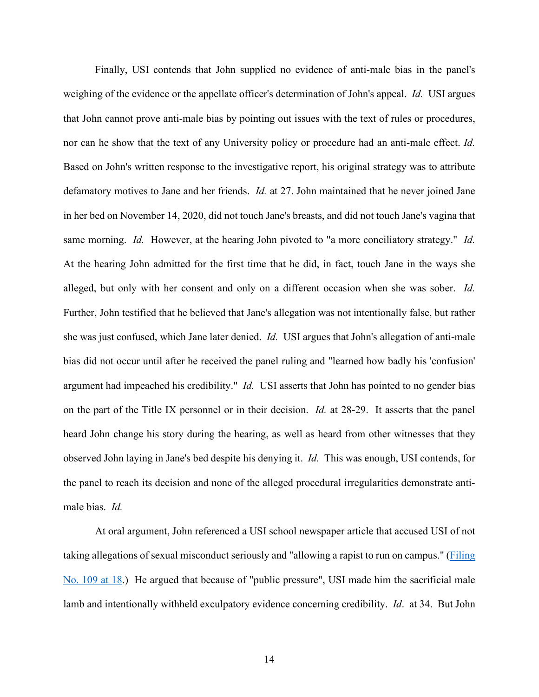Finally, USI contends that John supplied no evidence of anti-male bias in the panel's weighing of the evidence or the appellate officer's determination of John's appeal. *Id.* USI argues that John cannot prove anti-male bias by pointing out issues with the text of rules or procedures, nor can he show that the text of any University policy or procedure had an anti-male effect. *Id.* Based on John's written response to the investigative report, his original strategy was to attribute defamatory motives to Jane and her friends. *Id.* at 27. John maintained that he never joined Jane in her bed on November 14, 2020, did not touch Jane's breasts, and did not touch Jane's vagina that same morning. *Id.* However, at the hearing John pivoted to "a more conciliatory strategy." *Id.* At the hearing John admitted for the first time that he did, in fact, touch Jane in the ways she alleged, but only with her consent and only on a different occasion when she was sober. *Id.* Further, John testified that he believed that Jane's allegation was not intentionally false, but rather she was just confused, which Jane later denied. *Id.* USI argues that John's allegation of anti-male bias did not occur until after he received the panel ruling and "learned how badly his 'confusion' argument had impeached his credibility." *Id.* USI asserts that John has pointed to no gender bias on the part of the Title IX personnel or in their decision. *Id.* at 28-29. It asserts that the panel heard John change his story during the hearing, as well as heard from other witnesses that they observed John laying in Jane's bed despite his denying it. *Id.* This was enough, USI contends, for the panel to reach its decision and none of the alleged procedural irregularities demonstrate antimale bias. *Id.*

At oral argument, John referenced a USI school newspaper article that accused USI of not taking allegations of sexual misconduct seriously and "allowing a rapist to run on campus." [\(Filing](https://ecf.insd.uscourts.gov/doc1/07319042774?page=18)  [No. 109 at 18.](https://ecf.insd.uscourts.gov/doc1/07319042774?page=18)) He argued that because of "public pressure", USI made him the sacrificial male lamb and intentionally withheld exculpatory evidence concerning credibility. *Id*. at 34. But John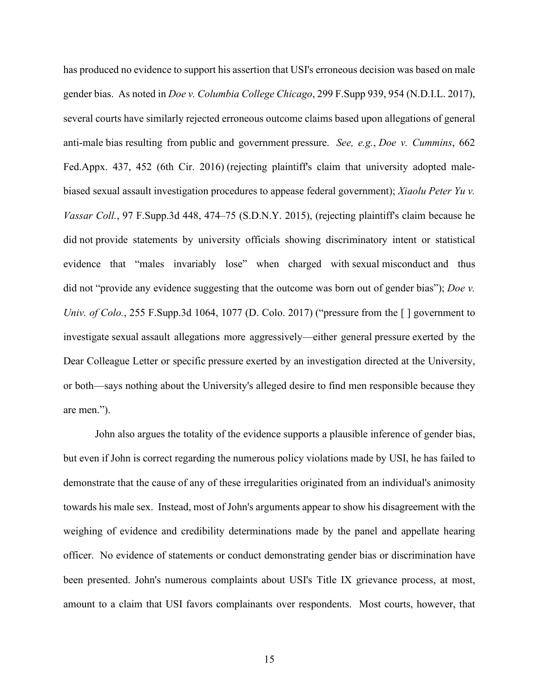has produced no evidence to support his assertion that USI's erroneous decision was based on male gender bias. As noted in *Doe v. Columbia College Chicago*, 299 F.Supp 939, 954 (N.D.I.L. 2017), several courts have similarly rejected erroneous outcome claims based upon allegations of general anti-male bias resulting from public and government pressure. *See, e.g.*, *Doe v. [Cummins](https://1.next.westlaw.com/Link/Document/FullText?findType=Y&serNum=2040461671&pubNum=0006538&originatingDoc=I814e2c00ba0b11e7a814f1ab34e02c4f&refType=RP&fi=co_pp_sp_6538_452&originationContext=document&transitionType=DocumentItem&ppcid=46c95a2b29cf4275957d59e0c45d0a6e&contextData=(sc.Search)#co_pp_sp_6538_452)*, 662 [Fed.Appx.](https://1.next.westlaw.com/Link/Document/FullText?findType=Y&serNum=2040461671&pubNum=0006538&originatingDoc=I814e2c00ba0b11e7a814f1ab34e02c4f&refType=RP&fi=co_pp_sp_6538_452&originationContext=document&transitionType=DocumentItem&ppcid=46c95a2b29cf4275957d59e0c45d0a6e&contextData=(sc.Search)#co_pp_sp_6538_452) 437, 452 (6th Cir. 2016) (rejecting plaintiff's claim that university adopted malebiased sexual assault investigation procedures to appease federal government); *[Xiaolu](https://1.next.westlaw.com/Link/Document/FullText?findType=Y&serNum=2035747704&pubNum=0007903&originatingDoc=I814e2c00ba0b11e7a814f1ab34e02c4f&refType=RP&fi=co_pp_sp_7903_474&originationContext=document&transitionType=DocumentItem&ppcid=46c95a2b29cf4275957d59e0c45d0a6e&contextData=(sc.Search)#co_pp_sp_7903_474) Peter Yu v. Vassar Coll.*, 97 [F.Supp.3d](https://1.next.westlaw.com/Link/Document/FullText?findType=Y&serNum=2035747704&pubNum=0007903&originatingDoc=I814e2c00ba0b11e7a814f1ab34e02c4f&refType=RP&fi=co_pp_sp_7903_474&originationContext=document&transitionType=DocumentItem&ppcid=46c95a2b29cf4275957d59e0c45d0a6e&contextData=(sc.Search)#co_pp_sp_7903_474) 448, 474–75 (S.D.N.Y. 2015), (rejecting plaintiff's claim because he did not provide statements by university officials showing discriminatory intent or statistical evidence that "males invariably lose" when charged with sexual misconduct and thus did not "provide any evidence suggesting that the outcome was born out of gender bias"); *[Doe](https://1.next.westlaw.com/Link/Document/FullText?findType=Y&serNum=2041740365&pubNum=0007903&originatingDoc=I814e2c00ba0b11e7a814f1ab34e02c4f&refType=RP&fi=co_pp_sp_7903_1077&originationContext=document&transitionType=DocumentItem&ppcid=46c95a2b29cf4275957d59e0c45d0a6e&contextData=(sc.Search)#co_pp_sp_7903_1077) v. Univ. of Colo.*, 255 [F.Supp.3d](https://1.next.westlaw.com/Link/Document/FullText?findType=Y&serNum=2041740365&pubNum=0007903&originatingDoc=I814e2c00ba0b11e7a814f1ab34e02c4f&refType=RP&fi=co_pp_sp_7903_1077&originationContext=document&transitionType=DocumentItem&ppcid=46c95a2b29cf4275957d59e0c45d0a6e&contextData=(sc.Search)#co_pp_sp_7903_1077) 1064, 1077 (D. Colo. 2017) ("pressure from the [] government to investigate sexual assault allegations more aggressively—either general pressure exerted by the Dear Colleague Letter or specific pressure exerted by an investigation directed at the University, or both—says nothing about the University's alleged desire to find men responsible because they are men.").

John also argues the totality of the evidence supports a plausible inference of gender bias, but even if John is correct regarding the numerous policy violations made by USI, he has failed to demonstrate that the cause of any of these irregularities originated from an individual's animosity towards his male sex. Instead, most of John's arguments appear to show his disagreement with the weighing of evidence and credibility determinations made by the panel and appellate hearing officer. No evidence of statements or conduct demonstrating gender bias or discrimination have been presented. John's numerous complaints about USI's Title IX grievance process, at most, amount to a claim that USI favors complainants over respondents. Most courts, however, that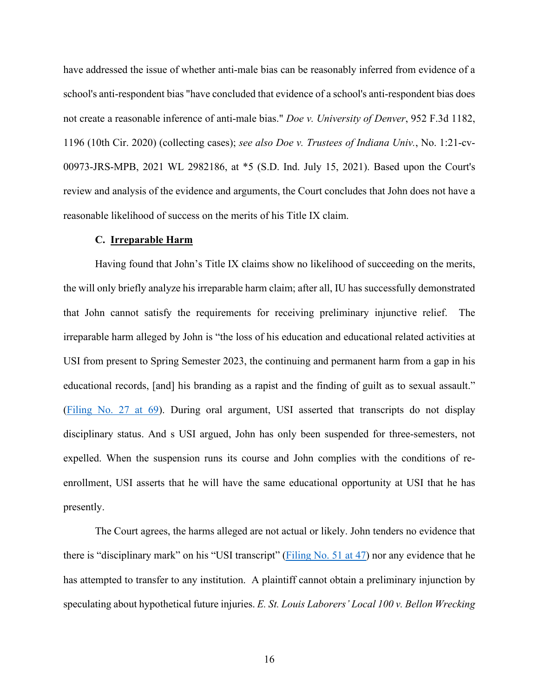have addressed the issue of whether anti-male bias can be reasonably inferred from evidence of a school's anti-respondent bias "have concluded that evidence of a school's anti-respondent bias does not create a reasonable inference of anti-male bias." *Doe v. University of Denver*, 952 F.3d 1182, 1196 (10th Cir. 2020) (collecting cases); *see also Doe v. Trustees of Indiana Univ.*, No. 1:21-cv-00973-JRS-MPB, 2021 WL 2982186, at \*5 (S.D. Ind. July 15, 2021). Based upon the Court's review and analysis of the evidence and arguments, the Court concludes that John does not have a reasonable likelihood of success on the merits of his Title IX claim.

#### **C. Irreparable Harm**

Having found that John's Title IX claims show no likelihood of succeeding on the merits, the will only briefly analyze his irreparable harm claim; after all, IU has successfully demonstrated that John cannot satisfy the requirements for receiving preliminary injunctive relief. The irreparable harm alleged by John is "the loss of his education and educational related activities at USI from present to Spring Semester 2023, the continuing and permanent harm from a gap in his educational records, [and] his branding as a rapist and the finding of guilt as to sexual assault." [\(Filing No. 27 at 69\)](https://ecf.insd.uscourts.gov/doc1/07318927575?page=69). During oral argument, USI asserted that transcripts do not display disciplinary status. And s USI argued, John has only been suspended for three-semesters, not expelled. When the suspension runs its course and John complies with the conditions of reenrollment, USI asserts that he will have the same educational opportunity at USI that he has presently.

The Court agrees, the harms alleged are not actual or likely. John tenders no evidence that there is "disciplinary mark" on his "USI transcript" [\(Filing No. 51 at 47\)](https://ecf.insd.uscourts.gov/doc1/07318932808?page=47) nor any evidence that he has attempted to transfer to any institution. A plaintiff cannot obtain a preliminary injunction by speculating about hypothetical future injuries. *E. St. Louis Laborers' Local 100 v. Bellon Wrecking*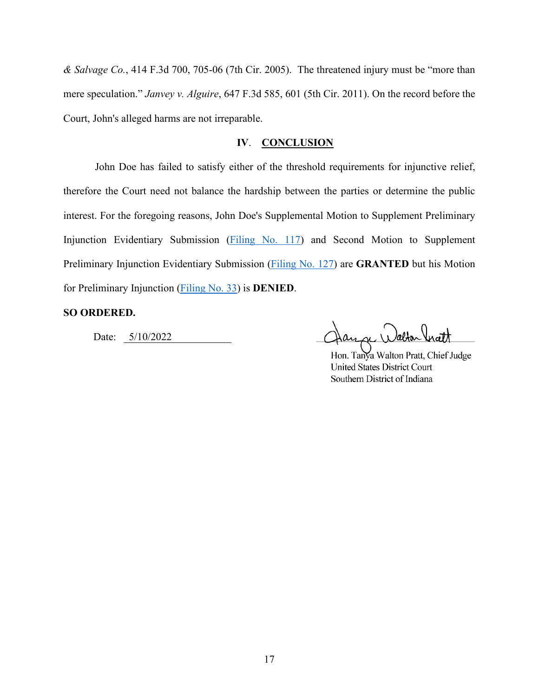*& Salvage Co.*, 414 F.3d 700, 705-06 (7th Cir. 2005). The threatened injury must be "more than mere speculation." *Janvey v. Alguire*, 647 F.3d 585, 601 (5th Cir. 2011). On the record before the Court, John's alleged harms are not irreparable.

# **IV**. **CONCLUSION**

John Doe has failed to satisfy either of the threshold requirements for injunctive relief, therefore the Court need not balance the hardship between the parties or determine the public interest. For the foregoing reasons, John Doe's Supplemental Motion to Supplement Preliminary Injunction Evidentiary Submission [\(Filing No. 117\)](https://ecf.insd.uscourts.gov/doc1/07319076466) and Second Motion to Supplement Preliminary Injunction Evidentiary Submission [\(Filing No. 127\)](https://ecf.insd.uscourts.gov/doc1/07319100317) are **GRANTED** but his Motion for Preliminary Injunction [\(Filing No. 33\)](https://ecf.insd.uscourts.gov/doc1/07318932419) is **DENIED**.

#### **SO ORDERED.**

Date: 5/10/2022

Hon. Tanya Walton Pratt, Chief Judge **United States District Court** Southern District of Indiana